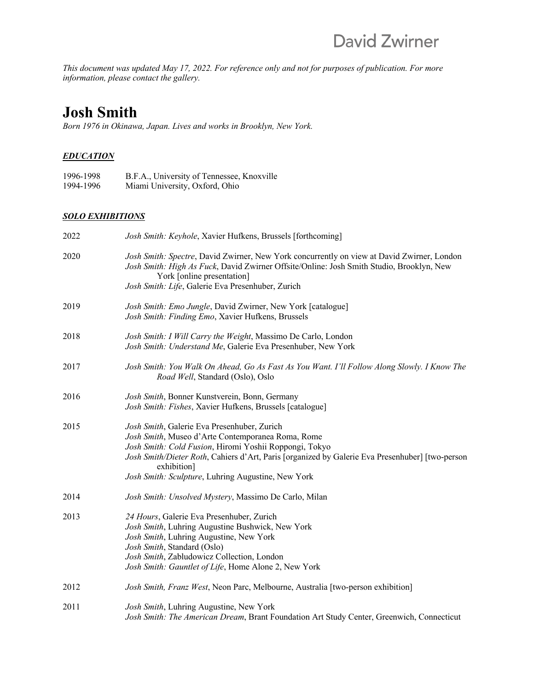*This document was updated May 17, 2022. For reference only and not for purposes of publication. For more information, please contact the gallery.*

# **Josh Smith**

*Born 1976 in Okinawa, Japan. Lives and works in Brooklyn, New York.* 

#### *EDUCATION*

| 1996-1998 | B.F.A., University of Tennessee, Knoxville |
|-----------|--------------------------------------------|
| 1994-1996 | Miami University, Oxford, Ohio             |

#### *SOLO EXHIBITIONS*

| 2022 | Josh Smith: Keyhole, Xavier Hufkens, Brussels [forthcoming]                                                                                                                                                                                                                                                                        |
|------|------------------------------------------------------------------------------------------------------------------------------------------------------------------------------------------------------------------------------------------------------------------------------------------------------------------------------------|
| 2020 | Josh Smith: Spectre, David Zwirner, New York concurrently on view at David Zwirner, London<br>Josh Smith: High As Fuck, David Zwirner Offsite/Online: Josh Smith Studio, Brooklyn, New<br>York [online presentation]<br>Josh Smith: Life, Galerie Eva Presenhuber, Zurich                                                          |
|      |                                                                                                                                                                                                                                                                                                                                    |
| 2019 | Josh Smith: Emo Jungle, David Zwirner, New York [catalogue]<br>Josh Smith: Finding Emo, Xavier Hufkens, Brussels                                                                                                                                                                                                                   |
| 2018 | Josh Smith: I Will Carry the Weight, Massimo De Carlo, London<br>Josh Smith: Understand Me, Galerie Eva Presenhuber, New York                                                                                                                                                                                                      |
| 2017 | Josh Smith: You Walk On Ahead, Go As Fast As You Want. I'll Follow Along Slowly. I Know The<br>Road Well, Standard (Oslo), Oslo                                                                                                                                                                                                    |
| 2016 | Josh Smith, Bonner Kunstverein, Bonn, Germany<br>Josh Smith: Fishes, Xavier Hufkens, Brussels [catalogue]                                                                                                                                                                                                                          |
| 2015 | Josh Smith, Galerie Eva Presenhuber, Zurich<br>Josh Smith, Museo d'Arte Contemporanea Roma, Rome<br>Josh Smith: Cold Fusion, Hiromi Yoshii Roppongi, Tokyo<br>Josh Smith/Dieter Roth, Cahiers d'Art, Paris [organized by Galerie Eva Presenhuber] [two-person<br>exhibition]<br>Josh Smith: Sculpture, Luhring Augustine, New York |
| 2014 | Josh Smith: Unsolved Mystery, Massimo De Carlo, Milan                                                                                                                                                                                                                                                                              |
| 2013 | 24 Hours, Galerie Eva Presenhuber, Zurich<br>Josh Smith, Luhring Augustine Bushwick, New York<br>Josh Smith, Luhring Augustine, New York<br>Josh Smith, Standard (Oslo)<br>Josh Smith, Zabludowicz Collection, London<br>Josh Smith: Gauntlet of Life, Home Alone 2, New York                                                      |
| 2012 | Josh Smith, Franz West, Neon Parc, Melbourne, Australia [two-person exhibition]                                                                                                                                                                                                                                                    |
| 2011 | Josh Smith, Luhring Augustine, New York<br>Josh Smith: The American Dream, Brant Foundation Art Study Center, Greenwich, Connecticut                                                                                                                                                                                               |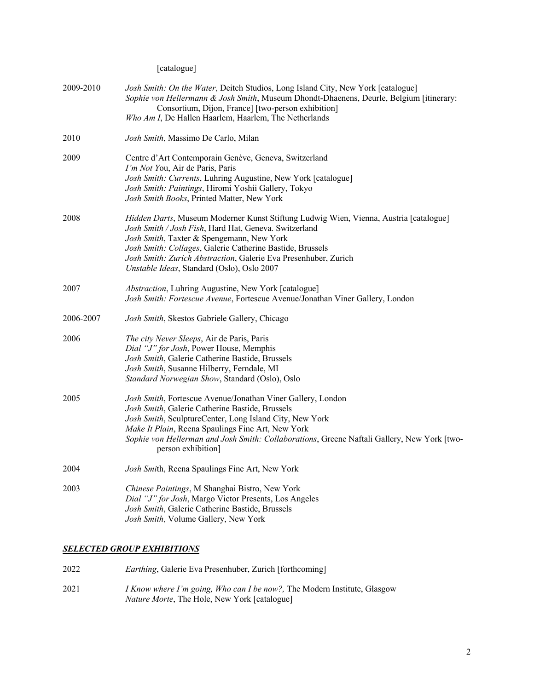[catalogue]

| 2009-2010 | Josh Smith: On the Water, Deitch Studios, Long Island City, New York [catalogue]<br>Sophie von Hellermann & Josh Smith, Museum Dhondt-Dhaenens, Deurle, Belgium [itinerary:<br>Consortium, Dijon, France] [two-person exhibition]<br>Who Am I, De Hallen Haarlem, Haarlem, The Netherlands                                                                                |
|-----------|---------------------------------------------------------------------------------------------------------------------------------------------------------------------------------------------------------------------------------------------------------------------------------------------------------------------------------------------------------------------------|
| 2010      | Josh Smith, Massimo De Carlo, Milan                                                                                                                                                                                                                                                                                                                                       |
| 2009      | Centre d'Art Contemporain Genève, Geneva, Switzerland<br>I'm Not You, Air de Paris, Paris<br>Josh Smith: Currents, Luhring Augustine, New York [catalogue]<br>Josh Smith: Paintings, Hiromi Yoshii Gallery, Tokyo<br>Josh Smith Books, Printed Matter, New York                                                                                                           |
| 2008      | Hidden Darts, Museum Moderner Kunst Stiftung Ludwig Wien, Vienna, Austria [catalogue]<br>Josh Smith / Josh Fish, Hard Hat, Geneva. Switzerland<br>Josh Smith, Taxter & Spengemann, New York<br>Josh Smith: Collages, Galerie Catherine Bastide, Brussels<br>Josh Smith: Zurich Abstraction, Galerie Eva Presenhuber, Zurich<br>Unstable Ideas, Standard (Oslo), Oslo 2007 |
| 2007      | Abstraction, Luhring Augustine, New York [catalogue]<br>Josh Smith: Fortescue Avenue, Fortescue Avenue/Jonathan Viner Gallery, London                                                                                                                                                                                                                                     |
| 2006-2007 | Josh Smith, Skestos Gabriele Gallery, Chicago                                                                                                                                                                                                                                                                                                                             |
| 2006      | The city Never Sleeps, Air de Paris, Paris<br>Dial "J" for Josh, Power House, Memphis<br>Josh Smith, Galerie Catherine Bastide, Brussels<br>Josh Smith, Susanne Hilberry, Ferndale, MI<br>Standard Norwegian Show, Standard (Oslo), Oslo                                                                                                                                  |
| 2005      | Josh Smith, Fortescue Avenue/Jonathan Viner Gallery, London<br>Josh Smith, Galerie Catherine Bastide, Brussels<br>Josh Smith, SculptureCenter, Long Island City, New York<br>Make It Plain, Reena Spaulings Fine Art, New York<br>Sophie von Hellerman and Josh Smith: Collaborations, Greene Naftali Gallery, New York [two-<br>person exhibition]                       |
| 2004      | Josh Smith, Reena Spaulings Fine Art, New York                                                                                                                                                                                                                                                                                                                            |
| 2003      | Chinese Paintings, M Shanghai Bistro, New York<br>Dial "J" for Josh, Margo Victor Presents, Los Angeles<br>Josh Smith, Galerie Catherine Bastide, Brussels<br>Josh Smith, Volume Gallery, New York                                                                                                                                                                        |

## *SELECTED GROUP EXHIBITIONS*

| 2022 | <i>Earthing</i> , Galerie Eva Presenhuber, Zurich [forthcoming]                                                                          |
|------|------------------------------------------------------------------------------------------------------------------------------------------|
| 2021 | <i>I Know where I'm going, Who can I be now?</i> , The Modern Institute, Glasgow<br><i>Nature Morte</i> , The Hole, New York [catalogue] |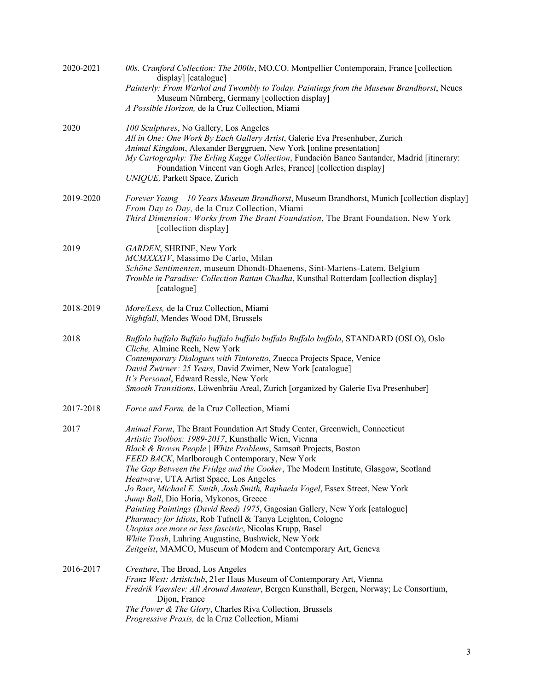| 2020-2021 | 00s. Cranford Collection: The 2000s, MO.CO. Montpellier Contemporain, France [collection<br>display] [catalogue]<br>Painterly: From Warhol and Twombly to Today. Paintings from the Museum Brandhorst, Neues<br>Museum Nürnberg, Germany [collection display]<br>A Possible Horizon, de la Cruz Collection, Miami                                                                                                                                                                                                                                                                                                                                                                                                                                                                                                                                   |
|-----------|-----------------------------------------------------------------------------------------------------------------------------------------------------------------------------------------------------------------------------------------------------------------------------------------------------------------------------------------------------------------------------------------------------------------------------------------------------------------------------------------------------------------------------------------------------------------------------------------------------------------------------------------------------------------------------------------------------------------------------------------------------------------------------------------------------------------------------------------------------|
| 2020      | 100 Sculptures, No Gallery, Los Angeles<br>All in One: One Work By Each Gallery Artist, Galerie Eva Presenhuber, Zurich<br>Animal Kingdom, Alexander Berggruen, New York [online presentation]<br>My Cartography: The Erling Kagge Collection, Fundación Banco Santander, Madrid [itinerary:<br>Foundation Vincent van Gogh Arles, France] [collection display]<br>UNIQUE, Parkett Space, Zurich                                                                                                                                                                                                                                                                                                                                                                                                                                                    |
| 2019-2020 | Forever Young - 10 Years Museum Brandhorst, Museum Brandhorst, Munich [collection display]<br>From Day to Day, de la Cruz Collection, Miami<br>Third Dimension: Works from The Brant Foundation, The Brant Foundation, New York<br>[collection display]                                                                                                                                                                                                                                                                                                                                                                                                                                                                                                                                                                                             |
| 2019      | GARDEN, SHRINE, New York<br>MCMXXXIV, Massimo De Carlo, Milan<br>Schöne Sentimenten, museum Dhondt-Dhaenens, Sint-Martens-Latem, Belgium<br>Trouble in Paradise: Collection Rattan Chadha, Kunsthal Rotterdam [collection display]<br>[catalogue]                                                                                                                                                                                                                                                                                                                                                                                                                                                                                                                                                                                                   |
| 2018-2019 | More/Less, de la Cruz Collection, Miami<br>Nightfall, Mendes Wood DM, Brussels                                                                                                                                                                                                                                                                                                                                                                                                                                                                                                                                                                                                                                                                                                                                                                      |
| 2018      | Buffalo buffalo Buffalo buffalo buffalo buffalo Buffalo buffalo, STANDARD (OSLO), Oslo<br>Cliche, Almine Rech, New York<br>Contemporary Dialogues with Tintoretto, Zuecca Projects Space, Venice<br>David Zwirner: 25 Years, David Zwirner, New York [catalogue]<br>It's Personal, Edward Ressle, New York<br>Smooth Transitions, Löwenbräu Areal, Zurich [organized by Galerie Eva Presenhuber]                                                                                                                                                                                                                                                                                                                                                                                                                                                    |
| 2017-2018 | Force and Form, de la Cruz Collection, Miami                                                                                                                                                                                                                                                                                                                                                                                                                                                                                                                                                                                                                                                                                                                                                                                                        |
| 2017      | Animal Farm, The Brant Foundation Art Study Center, Greenwich, Connecticut<br>Artistic Toolbox: 1989-2017, Kunsthalle Wien, Vienna<br>Black & Brown People   White Problems, Samsøñ Projects, Boston<br>FEED BACK, Marlborough Contemporary, New York<br>The Gap Between the Fridge and the Cooker, The Modern Institute, Glasgow, Scotland<br>Heatwave, UTA Artist Space, Los Angeles<br>Jo Baer, Michael E. Smith, Josh Smith, Raphaela Vogel, Essex Street, New York<br>Jump Ball, Dio Horia, Mykonos, Greece<br>Painting Paintings (David Reed) 1975, Gagosian Gallery, New York [catalogue]<br>Pharmacy for Idiots, Rob Tufnell & Tanya Leighton, Cologne<br>Utopias are more or less fascistic, Nicolas Krupp, Basel<br>White Trash, Luhring Augustine, Bushwick, New York<br>Zeitgeist, MAMCO, Museum of Modern and Contemporary Art, Geneva |
| 2016-2017 | Creature, The Broad, Los Angeles<br>Franz West: Artistclub, 21er Haus Museum of Contemporary Art, Vienna<br>Fredrik Vaerslev: All Around Amateur, Bergen Kunsthall, Bergen, Norway; Le Consortium,<br>Dijon, France<br>The Power & The Glory, Charles Riva Collection, Brussels<br>Progressive Praxis, de la Cruz Collection, Miami                                                                                                                                                                                                                                                                                                                                                                                                                                                                                                                 |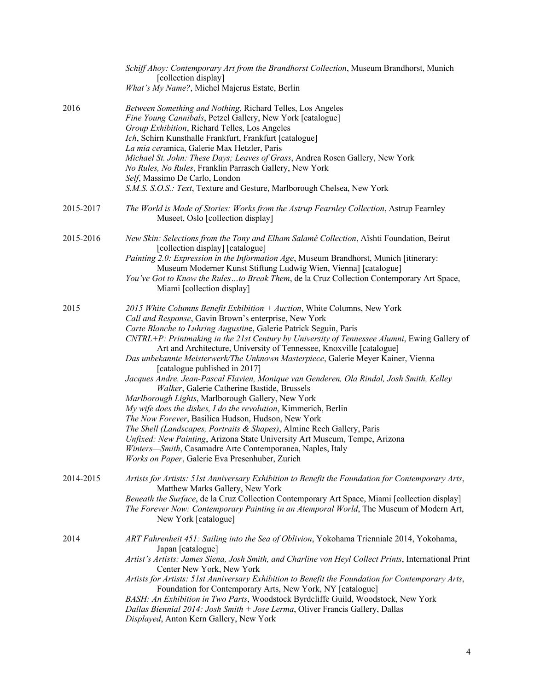|           | Schiff Ahoy: Contemporary Art from the Brandhorst Collection, Museum Brandhorst, Munich<br>[collection display]<br>What's My Name?, Michel Majerus Estate, Berlin                                                                                                                                                                                                                                                                                                                                                                                                                                                                                                                                                                                                                                                                                                                                                                                                                                                                                                                                       |
|-----------|---------------------------------------------------------------------------------------------------------------------------------------------------------------------------------------------------------------------------------------------------------------------------------------------------------------------------------------------------------------------------------------------------------------------------------------------------------------------------------------------------------------------------------------------------------------------------------------------------------------------------------------------------------------------------------------------------------------------------------------------------------------------------------------------------------------------------------------------------------------------------------------------------------------------------------------------------------------------------------------------------------------------------------------------------------------------------------------------------------|
| 2016      | Between Something and Nothing, Richard Telles, Los Angeles<br>Fine Young Cannibals, Petzel Gallery, New York [catalogue]<br>Group Exhibition, Richard Telles, Los Angeles<br>Ich, Schirn Kunsthalle Frankfurt, Frankfurt [catalogue]<br>La mia ceramica, Galerie Max Hetzler, Paris<br>Michael St. John: These Days; Leaves of Grass, Andrea Rosen Gallery, New York<br>No Rules, No Rules, Franklin Parrasch Gallery, New York<br>Self, Massimo De Carlo, London<br>S.M.S. S.O.S.: Text, Texture and Gesture, Marlborough Chelsea, New York                                                                                                                                                                                                                                                                                                                                                                                                                                                                                                                                                            |
| 2015-2017 | The World is Made of Stories: Works from the Astrup Fearnley Collection, Astrup Fearnley<br>Museet, Oslo [collection display]                                                                                                                                                                                                                                                                                                                                                                                                                                                                                                                                                                                                                                                                                                                                                                                                                                                                                                                                                                           |
| 2015-2016 | New Skin: Selections from the Tony and Elham Salamé Collection, Aïshti Foundation, Beirut<br>[collection display] [catalogue]<br>Painting 2.0: Expression in the Information Age, Museum Brandhorst, Munich [itinerary:<br>Museum Moderner Kunst Stiftung Ludwig Wien, Vienna] [catalogue]<br>You've Got to Know the Rulesto Break Them, de la Cruz Collection Contemporary Art Space,<br>Miami [collection display]                                                                                                                                                                                                                                                                                                                                                                                                                                                                                                                                                                                                                                                                                    |
| 2015      | 2015 White Columns Benefit Exhibition $+$ Auction, White Columns, New York<br>Call and Response, Gavin Brown's enterprise, New York<br>Carte Blanche to Luhring Augustine, Galerie Patrick Seguin, Paris<br>CNTRL+P: Printmaking in the 21st Century by University of Tennessee Alumni, Ewing Gallery of<br>Art and Architecture, University of Tennessee, Knoxville [catalogue]<br>Das unbekannte Meisterwerk/The Unknown Masterpiece, Galerie Meyer Kainer, Vienna<br>[catalogue published in 2017]<br>Jacques Andre, Jean-Pascal Flavien, Monique van Genderen, Ola Rindal, Josh Smith, Kelley<br>Walker, Galerie Catherine Bastide, Brussels<br>Marlborough Lights, Marlborough Gallery, New York<br>My wife does the dishes, I do the revolution, Kimmerich, Berlin<br>The Now Forever, Basilica Hudson, Hudson, New York<br>The Shell (Landscapes, Portraits & Shapes), Almine Rech Gallery, Paris<br>Unfixed: New Painting, Arizona State University Art Museum, Tempe, Arizona<br>Winters-Smith, Casamadre Arte Contemporanea, Naples, Italy<br>Works on Paper, Galerie Eva Presenhuber, Zurich |
| 2014-2015 | Artists for Artists: 51st Anniversary Exhibition to Benefit the Foundation for Contemporary Arts,<br>Matthew Marks Gallery, New York<br>Beneath the Surface, de la Cruz Collection Contemporary Art Space, Miami [collection display]<br>The Forever Now: Contemporary Painting in an Atemporal World, The Museum of Modern Art,<br>New York [catalogue]                                                                                                                                                                                                                                                                                                                                                                                                                                                                                                                                                                                                                                                                                                                                                |
| 2014      | ART Fahrenheit 451: Sailing into the Sea of Oblivion, Yokohama Trienniale 2014, Yokohama,<br>Japan [catalogue]<br>Artist's Artists: James Siena, Josh Smith, and Charline von Heyl Collect Prints, International Print<br>Center New York, New York<br>Artists for Artists: 51st Anniversary Exhibition to Benefit the Foundation for Contemporary Arts,<br>Foundation for Contemporary Arts, New York, NY [catalogue]<br>BASH: An Exhibition in Two Parts, Woodstock Byrdcliffe Guild, Woodstock, New York<br>Dallas Biennial 2014: Josh Smith + Jose Lerma, Oliver Francis Gallery, Dallas<br>Displayed, Anton Kern Gallery, New York                                                                                                                                                                                                                                                                                                                                                                                                                                                                 |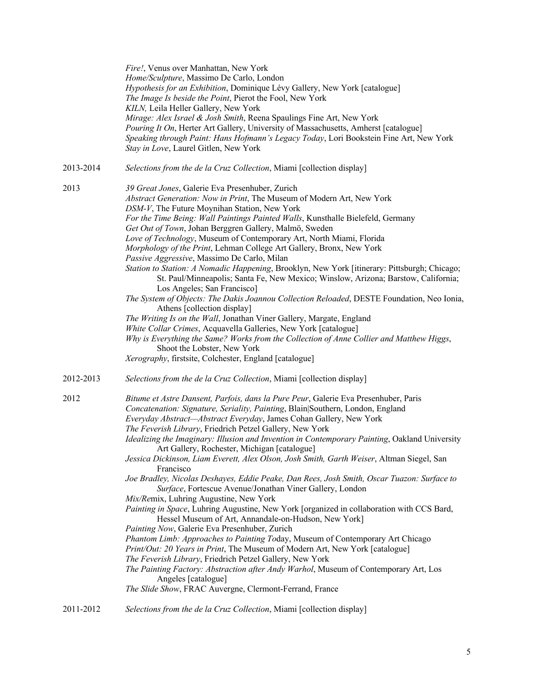|           | Fire!, Venus over Manhattan, New York<br>Home/Sculpture, Massimo De Carlo, London<br>Hypothesis for an Exhibition, Dominique Lévy Gallery, New York [catalogue]<br>The Image Is beside the Point, Pierot the Fool, New York<br>KILN, Leila Heller Gallery, New York<br>Mirage: Alex Israel & Josh Smith, Reena Spaulings Fine Art, New York<br>Pouring It On, Herter Art Gallery, University of Massachusetts, Amherst [catalogue]<br>Speaking through Paint: Hans Hofmann's Legacy Today, Lori Bookstein Fine Art, New York<br>Stay in Love, Laurel Gitlen, New York                                                                                                                                                                                                                                                                                                                                                                                                                                                                                                                                                                                                                                                                                                                                                                                                                |
|-----------|--------------------------------------------------------------------------------------------------------------------------------------------------------------------------------------------------------------------------------------------------------------------------------------------------------------------------------------------------------------------------------------------------------------------------------------------------------------------------------------------------------------------------------------------------------------------------------------------------------------------------------------------------------------------------------------------------------------------------------------------------------------------------------------------------------------------------------------------------------------------------------------------------------------------------------------------------------------------------------------------------------------------------------------------------------------------------------------------------------------------------------------------------------------------------------------------------------------------------------------------------------------------------------------------------------------------------------------------------------------------------------------|
| 2013-2014 | Selections from the de la Cruz Collection, Miami [collection display]                                                                                                                                                                                                                                                                                                                                                                                                                                                                                                                                                                                                                                                                                                                                                                                                                                                                                                                                                                                                                                                                                                                                                                                                                                                                                                                |
| 2013      | 39 Great Jones, Galerie Eva Presenhuber, Zurich<br>Abstract Generation: Now in Print, The Museum of Modern Art, New York<br>DSM-V, The Future Moynihan Station, New York<br>For the Time Being: Wall Paintings Painted Walls, Kunsthalle Bielefeld, Germany<br>Get Out of Town, Johan Berggren Gallery, Malmö, Sweden<br>Love of Technology, Museum of Contemporary Art, North Miami, Florida<br>Morphology of the Print, Lehman College Art Gallery, Bronx, New York<br>Passive Aggressive, Massimo De Carlo, Milan<br>Station to Station: A Nomadic Happening, Brooklyn, New York [itinerary: Pittsburgh; Chicago;<br>St. Paul/Minneapolis; Santa Fe, New Mexico; Winslow, Arizona; Barstow, California;<br>Los Angeles; San Francisco]<br>The System of Objects: The Dakis Joannou Collection Reloaded, DESTE Foundation, Neo Ionia,<br>Athens [collection display]<br>The Writing Is on the Wall, Jonathan Viner Gallery, Margate, England<br>White Collar Crimes, Acquavella Galleries, New York [catalogue]<br>Why is Everything the Same? Works from the Collection of Anne Collier and Matthew Higgs,<br>Shoot the Lobster, New York<br>Xerography, firstsite, Colchester, England [catalogue]                                                                                                                                                                               |
| 2012-2013 | Selections from the de la Cruz Collection, Miami [collection display]                                                                                                                                                                                                                                                                                                                                                                                                                                                                                                                                                                                                                                                                                                                                                                                                                                                                                                                                                                                                                                                                                                                                                                                                                                                                                                                |
| 2012      | Bitume et Astre Dansent, Parfois, dans la Pure Peur, Galerie Eva Presenhuber, Paris<br>Concatenation: Signature, Seriality, Painting, Blain Southern, London, England<br>Everyday Abstract-Abstract Everyday, James Cohan Gallery, New York<br>The Feverish Library, Friedrich Petzel Gallery, New York<br>Idealizing the Imaginary: Illusion and Invention in Contemporary Painting, Oakland University<br>Art Gallery, Rochester, Michigan [catalogue]<br>Jessica Dickinson, Liam Everett, Alex Olson, Josh Smith, Garth Weiser, Altman Siegel, San<br>Francisco<br>Joe Bradley, Nicolas Deshayes, Eddie Peake, Dan Rees, Josh Smith, Oscar Tuazon: Surface to<br>Surface, Fortescue Avenue/Jonathan Viner Gallery, London<br>Mix/Remix, Luhring Augustine, New York<br>Painting in Space, Luhring Augustine, New York [organized in collaboration with CCS Bard,<br>Hessel Museum of Art, Annandale-on-Hudson, New York]<br>Painting Now, Galerie Eva Presenhuber, Zurich<br>Phantom Limb: Approaches to Painting Today, Museum of Contemporary Art Chicago<br>Print/Out: 20 Years in Print, The Museum of Modern Art, New York [catalogue]<br>The Feverish Library, Friedrich Petzel Gallery, New York<br>The Painting Factory: Abstraction after Andy Warhol, Museum of Contemporary Art, Los<br>Angeles [catalogue]<br>The Slide Show, FRAC Auvergne, Clermont-Ferrand, France |
| 2011-2012 | Selections from the de la Cruz Collection, Miami [collection display]                                                                                                                                                                                                                                                                                                                                                                                                                                                                                                                                                                                                                                                                                                                                                                                                                                                                                                                                                                                                                                                                                                                                                                                                                                                                                                                |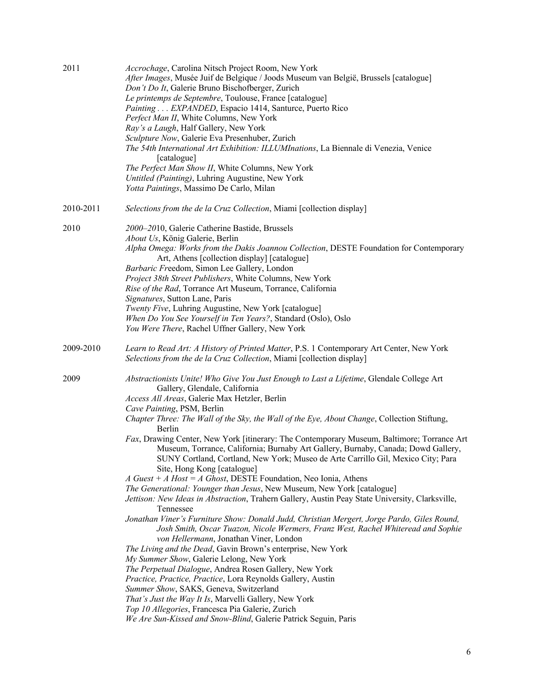| 2011      | Accrochage, Carolina Nitsch Project Room, New York<br>After Images, Musée Juif de Belgique / Joods Museum van België, Brussels [catalogue]<br>Don't Do It, Galerie Bruno Bischofberger, Zurich |
|-----------|------------------------------------------------------------------------------------------------------------------------------------------------------------------------------------------------|
|           | Le printemps de Septembre, Toulouse, France [catalogue]                                                                                                                                        |
|           | Painting EXPANDED, Espacio 1414, Santurce, Puerto Rico                                                                                                                                         |
|           | Perfect Man II, White Columns, New York                                                                                                                                                        |
|           | Ray's a Laugh, Half Gallery, New York                                                                                                                                                          |
|           | Sculpture Now, Galerie Eva Presenhuber, Zurich                                                                                                                                                 |
|           | The 54th International Art Exhibition: ILLUMInations, La Biennale di Venezia, Venice                                                                                                           |
|           | [catalogue]                                                                                                                                                                                    |
|           | The Perfect Man Show II, White Columns, New York                                                                                                                                               |
|           | Untitled (Painting), Luhring Augustine, New York                                                                                                                                               |
|           | Yotta Paintings, Massimo De Carlo, Milan                                                                                                                                                       |
| 2010-2011 | Selections from the de la Cruz Collection, Miami [collection display]                                                                                                                          |
| 2010      | 2000-2010, Galerie Catherine Bastide, Brussels                                                                                                                                                 |
|           | About Us, König Galerie, Berlin                                                                                                                                                                |
|           | Alpha Omega: Works from the Dakis Joannou Collection, DESTE Foundation for Contemporary                                                                                                        |
|           | Art, Athens [collection display] [catalogue]                                                                                                                                                   |
|           | Barbaric Freedom, Simon Lee Gallery, London                                                                                                                                                    |
|           | Project 38th Street Publishers, White Columns, New York                                                                                                                                        |
|           | Rise of the Rad, Torrance Art Museum, Torrance, California                                                                                                                                     |
|           | Signatures, Sutton Lane, Paris                                                                                                                                                                 |
|           | Twenty Five, Luhring Augustine, New York [catalogue]                                                                                                                                           |
|           | When Do You See Yourself in Ten Years?, Standard (Oslo), Oslo                                                                                                                                  |
|           | You Were There, Rachel Uffner Gallery, New York                                                                                                                                                |
| 2009-2010 | Learn to Read Art: A History of Printed Matter, P.S. 1 Contemporary Art Center, New York<br>Selections from the de la Cruz Collection, Miami [collection display]                              |
| 2009      | Abstractionists Unite! Who Give You Just Enough to Last a Lifetime, Glendale College Art                                                                                                       |
|           | Gallery, Glendale, California                                                                                                                                                                  |
|           | Access All Areas, Galerie Max Hetzler, Berlin                                                                                                                                                  |
|           | Cave Painting, PSM, Berlin                                                                                                                                                                     |
|           | Chapter Three: The Wall of the Sky, the Wall of the Eye, About Change, Collection Stiftung,<br>Berlin                                                                                          |
|           | Fax, Drawing Center, New York [itinerary: The Contemporary Museum, Baltimore; Torrance Art                                                                                                     |
|           | Museum, Torrance, California; Burnaby Art Gallery, Burnaby, Canada; Dowd Gallery,<br>SUNY Cortland, Cortland, New York; Museo de Arte Carrillo Gil, Mexico City; Para                          |
|           | Site, Hong Kong [catalogue]                                                                                                                                                                    |
|           | A Guest + A Host = A Ghost, DESTE Foundation, Neo Ionia, Athens                                                                                                                                |
|           | The Generational: Younger than Jesus, New Museum, New York [catalogue]                                                                                                                         |
|           | Jettison: New Ideas in Abstraction, Trahern Gallery, Austin Peay State University, Clarksville,                                                                                                |
|           | Tennessee                                                                                                                                                                                      |
|           | Jonathan Viner's Furniture Show: Donald Judd, Christian Mergert, Jorge Pardo, Giles Round,                                                                                                     |
|           | Josh Smith, Oscar Tuazon, Nicole Wermers, Franz West, Rachel Whiteread and Sophie                                                                                                              |
|           | von Hellermann, Jonathan Viner, London                                                                                                                                                         |
|           | The Living and the Dead, Gavin Brown's enterprise, New York                                                                                                                                    |
|           | My Summer Show, Galerie Lelong, New York                                                                                                                                                       |
|           | The Perpetual Dialogue, Andrea Rosen Gallery, New York                                                                                                                                         |
|           | Practice, Practice, Practice, Lora Reynolds Gallery, Austin                                                                                                                                    |
|           | Summer Show, SAKS, Geneva, Switzerland                                                                                                                                                         |
|           | That's Just the Way It Is, Marvelli Gallery, New York                                                                                                                                          |
|           | Top 10 Allegories, Francesca Pia Galerie, Zurich                                                                                                                                               |
|           | We Are Sun-Kissed and Snow-Blind, Galerie Patrick Seguin, Paris                                                                                                                                |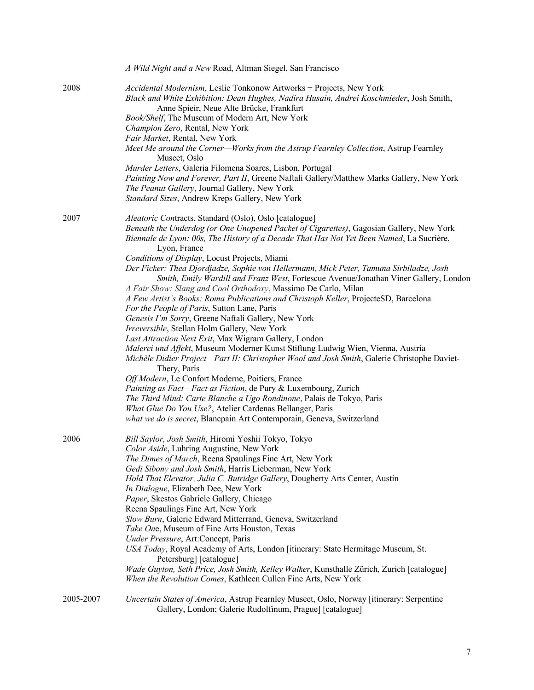|           | A Wild Night and a New Road, Altman Siegel, San Francisco                                                                                                                                                                                                                                                                                                                                                                                                                                                                                                                                                                                                                                                                                                                                                                                                                                                                                                                                                                                                                                                                                                                                                                                                                                                                                                                                                       |
|-----------|-----------------------------------------------------------------------------------------------------------------------------------------------------------------------------------------------------------------------------------------------------------------------------------------------------------------------------------------------------------------------------------------------------------------------------------------------------------------------------------------------------------------------------------------------------------------------------------------------------------------------------------------------------------------------------------------------------------------------------------------------------------------------------------------------------------------------------------------------------------------------------------------------------------------------------------------------------------------------------------------------------------------------------------------------------------------------------------------------------------------------------------------------------------------------------------------------------------------------------------------------------------------------------------------------------------------------------------------------------------------------------------------------------------------|
| 2008      | Accidental Modernism, Leslie Tonkonow Artworks + Projects, New York<br>Black and White Exhibition: Dean Hughes, Nadira Husain, Andrei Koschmieder, Josh Smith,<br>Anne Spieir, Neue Alte Brücke, Frankfurt<br>Book/Shelf, The Museum of Modern Art, New York<br>Champion Zero, Rental, New York<br>Fair Market, Rental, New York<br>Meet Me around the Corner—Works from the Astrup Fearnley Collection, Astrup Fearnley<br>Museet, Oslo                                                                                                                                                                                                                                                                                                                                                                                                                                                                                                                                                                                                                                                                                                                                                                                                                                                                                                                                                                        |
|           | Murder Letters, Galeria Filomena Soares, Lisbon, Portugal<br>Painting Now and Forever, Part II, Greene Naftali Gallery/Matthew Marks Gallery, New York<br>The Peanut Gallery, Journal Gallery, New York<br>Standard Sizes, Andrew Kreps Gallery, New York                                                                                                                                                                                                                                                                                                                                                                                                                                                                                                                                                                                                                                                                                                                                                                                                                                                                                                                                                                                                                                                                                                                                                       |
| 2007      | Aleatoric Contracts, Standard (Oslo), Oslo [catalogue]<br>Beneath the Underdog (or One Unopened Packet of Cigarettes), Gagosian Gallery, New York<br>Biennale de Lyon: 00s, The History of a Decade That Has Not Yet Been Named, La Sucrière,<br>Lyon, France<br>Conditions of Display, Locust Projects, Miami<br>Der Ficker: Thea Djordjadze, Sophie von Hellermann, Mick Peter, Tamuna Sirbiladze, Josh<br>Smith, Emily Wardill and Franz West, Fortescue Avenue/Jonathan Viner Gallery, London<br>A Fair Show: Slang and Cool Orthodoxy, Massimo De Carlo, Milan<br>A Few Artist's Books: Roma Publications and Christoph Keller, ProjecteSD, Barcelona<br>For the People of Paris, Sutton Lane, Paris<br>Genesis I'm Sorry, Greene Naftali Gallery, New York<br>Irreversible, Stellan Holm Gallery, New York<br>Last Attraction Next Exit, Max Wigram Gallery, London<br>Malerei und Affekt, Museum Moderner Kunst Stiftung Ludwig Wien, Vienna, Austria<br>Michèle Didier Project-Part II: Christopher Wool and Josh Smith, Galerie Christophe Daviet-<br>Thery, Paris<br>Off Modern, Le Confort Moderne, Poitiers, France<br>Painting as Fact-Fact as Fiction, de Pury & Luxembourg, Zurich<br>The Third Mind: Carte Blanche a Ugo Rondinone, Palais de Tokyo, Paris<br>What Glue Do You Use?, Atelier Cardenas Bellanger, Paris<br>what we do is secret, Blancpain Art Contemporain, Geneva, Switzerland |
| 2006      | Bill Saylor, Josh Smith, Hiromi Yoshii Tokyo, Tokyo<br>Color Aside, Luhring Augustine, New York<br>The Dimes of March, Reena Spaulings Fine Art, New York<br>Gedi Sibony and Josh Smith, Harris Lieberman, New York<br>Hold That Elevator, Julia C. Butridge Gallery, Dougherty Arts Center, Austin<br>In Dialogue, Elizabeth Dee, New York<br>Paper, Skestos Gabriele Gallery, Chicago<br>Reena Spaulings Fine Art, New York<br>Slow Burn, Galerie Edward Mitterrand, Geneva, Switzerland<br>Take One, Museum of Fine Arts Houston, Texas<br>Under Pressure, Art:Concept, Paris<br>USA Today, Royal Academy of Arts, London [itinerary: State Hermitage Museum, St.<br>Petersburg] [catalogue]<br>Wade Guyton, Seth Price, Josh Smith, Kelley Walker, Kunsthalle Zürich, Zurich [catalogue]<br>When the Revolution Comes, Kathleen Cullen Fine Arts, New York                                                                                                                                                                                                                                                                                                                                                                                                                                                                                                                                                  |
| 2005-2007 | Uncertain States of America, Astrup Fearnley Museet, Oslo, Norway [itinerary: Serpentine<br>Gallery, London; Galerie Rudolfinum, Prague] [catalogue]                                                                                                                                                                                                                                                                                                                                                                                                                                                                                                                                                                                                                                                                                                                                                                                                                                                                                                                                                                                                                                                                                                                                                                                                                                                            |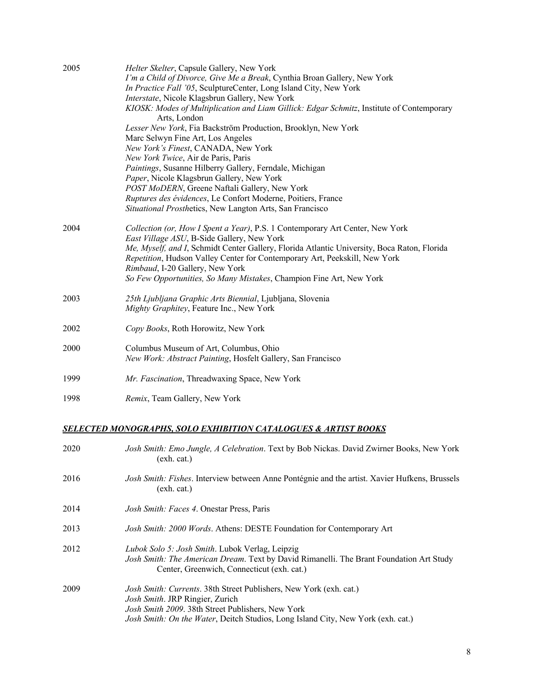| 2005 | Helter Skelter, Capsule Gallery, New York                                                                                                     |
|------|-----------------------------------------------------------------------------------------------------------------------------------------------|
|      | I'm a Child of Divorce, Give Me a Break, Cynthia Broan Gallery, New York<br>In Practice Fall '05, SculptureCenter, Long Island City, New York |
|      | Interstate, Nicole Klagsbrun Gallery, New York                                                                                                |
|      | KIOSK: Modes of Multiplication and Liam Gillick: Edgar Schmitz, Institute of Contemporary                                                     |
|      | Arts, London                                                                                                                                  |
|      | Lesser New York, Fia Backström Production, Brooklyn, New York                                                                                 |
|      | Marc Selwyn Fine Art, Los Angeles                                                                                                             |
|      | New York's Finest, CANADA, New York                                                                                                           |
|      | New York Twice, Air de Paris, Paris                                                                                                           |
|      | Paintings, Susanne Hilberry Gallery, Ferndale, Michigan                                                                                       |
|      | Paper, Nicole Klagsbrun Gallery, New York                                                                                                     |
|      | POST MoDERN, Greene Naftali Gallery, New York                                                                                                 |
|      | Ruptures des évidences, Le Confort Moderne, Poitiers, France                                                                                  |
|      | Situational Prosthetics, New Langton Arts, San Francisco                                                                                      |
|      |                                                                                                                                               |
| 2004 | Collection (or, How I Spent a Year), P.S. 1 Contemporary Art Center, New York                                                                 |
|      | East Village ASU, B-Side Gallery, New York                                                                                                    |
|      | Me, Myself, and I, Schmidt Center Gallery, Florida Atlantic University, Boca Raton, Florida                                                   |
|      | Repetition, Hudson Valley Center for Contemporary Art, Peekskill, New York                                                                    |
|      | Rimbaud, I-20 Gallery, New York                                                                                                               |
|      | So Few Opportunities, So Many Mistakes, Champion Fine Art, New York                                                                           |
|      |                                                                                                                                               |
| 2003 | 25th Ljubljana Graphic Arts Biennial, Ljubljana, Slovenia                                                                                     |
|      | Mighty Graphitey, Feature Inc., New York                                                                                                      |
| 2002 | Copy Books, Roth Horowitz, New York                                                                                                           |
|      |                                                                                                                                               |
| 2000 | Columbus Museum of Art, Columbus, Ohio                                                                                                        |
|      | New Work: Abstract Painting, Hosfelt Gallery, San Francisco                                                                                   |
| 1999 | Mr. Fascination, Threadwaxing Space, New York                                                                                                 |
|      |                                                                                                                                               |
| 1998 | Remix, Team Gallery, New York                                                                                                                 |
|      |                                                                                                                                               |

## *SELECTED MONOGRAPHS, SOLO EXHIBITION CATALOGUES & ARTIST BOOKS*

| 2020 | Josh Smith: Emo Jungle, A Celebration. Text by Bob Nickas. David Zwirner Books, New York<br>(exh. cat.)                                                                                                                                               |
|------|-------------------------------------------------------------------------------------------------------------------------------------------------------------------------------------------------------------------------------------------------------|
| 2016 | <i>Josh Smith: Fishes.</i> Interview between Anne Pontégnie and the artist. Xavier Hufkens, Brussels<br>(exh. cat.)                                                                                                                                   |
| 2014 | <i>Josh Smith: Faces 4.</i> Onestar Press, Paris                                                                                                                                                                                                      |
| 2013 | Josh Smith: 2000 Words. Athens: DESTE Foundation for Contemporary Art                                                                                                                                                                                 |
| 2012 | Lubok Solo 5: Josh Smith. Lubok Verlag, Leipzig<br>Josh Smith: The American Dream. Text by David Rimanelli. The Brant Foundation Art Study<br>Center, Greenwich, Connecticut (exh. cat.)                                                              |
| 2009 | <i>Josh Smith: Currents.</i> 38th Street Publishers, New York (exh. cat.)<br>Josh Smith. JRP Ringier, Zurich<br>Josh Smith 2009. 38th Street Publishers, New York<br>Josh Smith: On the Water, Deitch Studios, Long Island City, New York (exh. cat.) |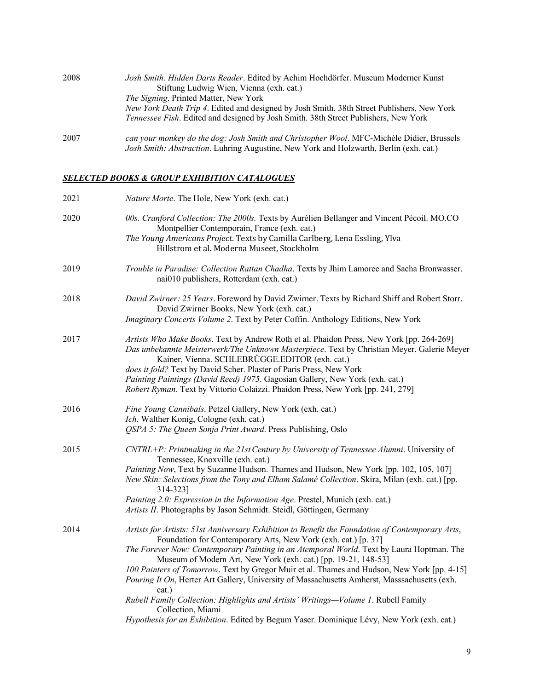| 2008 | Josh Smith. Hidden Darts Reader. Edited by Achim Hochdörfer. Museum Moderner Kunst<br>Stiftung Ludwig Wien, Vienna (exh. cat.)                                                                                                    |
|------|-----------------------------------------------------------------------------------------------------------------------------------------------------------------------------------------------------------------------------------|
|      | <i>The Signing.</i> Printed Matter, New York<br>New York Death Trip 4. Edited and designed by Josh Smith. 38th Street Publishers, New York<br>Tennessee Fish. Edited and designed by Josh Smith. 38th Street Publishers, New York |
| 2007 | can your monkey do the dog: Josh Smith and Christopher Wool. MFC-Michèle Didier, Brussels<br>Josh Smith: Abstraction. Luhring Augustine, New York and Holzwarth, Berlin (exh. cat.)                                               |

## *SELECTED BOOKS & GROUP EXHIBITION CATALOGUES*

| 2021 | Nature Morte. The Hole, New York (exh. cat.)                                                                                                                                                                                                                                                                                                                                                                                                                                                                                                                                                                                                                                                                                                     |
|------|--------------------------------------------------------------------------------------------------------------------------------------------------------------------------------------------------------------------------------------------------------------------------------------------------------------------------------------------------------------------------------------------------------------------------------------------------------------------------------------------------------------------------------------------------------------------------------------------------------------------------------------------------------------------------------------------------------------------------------------------------|
| 2020 | 00s. Cranford Collection: The 2000s. Texts by Aurélien Bellanger and Vincent Pécoil. MO.CO<br>Montpellier Contemporain, France (exh. cat.)<br>The Young Americans Project. Texts by Camilla Carlberg, Lena Essling, Ylva<br>Hillstrom et al. Moderna Museet, Stockholm                                                                                                                                                                                                                                                                                                                                                                                                                                                                           |
| 2019 | Trouble in Paradise: Collection Rattan Chadha. Texts by Jhim Lamoree and Sacha Bronwasser.<br>nai010 publishers, Rotterdam (exh. cat.)                                                                                                                                                                                                                                                                                                                                                                                                                                                                                                                                                                                                           |
| 2018 | David Zwirner: 25 Years. Foreword by David Zwirner. Texts by Richard Shiff and Robert Storr.<br>David Zwirner Books, New York (exh. cat.)<br>Imaginary Concerts Volume 2. Text by Peter Coffin. Anthology Editions, New York                                                                                                                                                                                                                                                                                                                                                                                                                                                                                                                     |
| 2017 | Artists Who Make Books. Text by Andrew Roth et al. Phaidon Press, New York [pp. 264-269]<br>Das unbekannte Meisterwerk/The Unknown Masterpiece. Text by Christian Meyer. Galerie Meyer<br>Kainer, Vienna. SCHLEBRÜGGE.EDITOR (exh. cat.)<br>does it fold? Text by David Scher. Plaster of Paris Press, New York<br>Painting Paintings (David Reed) 1975. Gagosian Gallery, New York (exh. cat.)<br>Robert Ryman. Text by Vittorio Colaizzi. Phaidon Press, New York [pp. 241, 279]                                                                                                                                                                                                                                                               |
| 2016 | Fine Young Cannibals. Petzel Gallery, New York (exh. cat.)<br>Ich. Walther Konig, Cologne (exh. cat.)<br>OSPA 5: The Queen Sonja Print Award. Press Publishing, Oslo                                                                                                                                                                                                                                                                                                                                                                                                                                                                                                                                                                             |
| 2015 | CNTRL+P: Printmaking in the 21st Century by University of Tennessee Alumni. University of<br>Tennessee, Knoxville (exh. cat.)<br>Painting Now, Text by Suzanne Hudson. Thames and Hudson, New York [pp. 102, 105, 107]<br>New Skin: Selections from the Tony and Elham Salamé Collection. Skira, Milan (exh. cat.) [pp.<br>314-3231<br>Painting 2.0: Expression in the Information Age. Prestel, Munich (exh. cat.)<br>Artists II. Photographs by Jason Schmidt. Steidl, Göttingen, Germany                                                                                                                                                                                                                                                      |
| 2014 | Artists for Artists: 51st Anniversary Exhibition to Benefit the Foundation of Contemporary Arts,<br>Foundation for Contemporary Arts, New York (exh. cat.) [p. 37]<br>The Forever Now: Contemporary Painting in an Atemporal World. Text by Laura Hoptman. The<br>Museum of Modern Art, New York (exh. cat.) [pp. 19-21, 148-53]<br>100 Painters of Tomorrow. Text by Gregor Muir et al. Thames and Hudson, New York [pp. 4-15]<br>Pouring It On, Herter Art Gallery, University of Massachusetts Amherst, Masssachusetts (exh.<br>cat.)<br>Rubell Family Collection: Highlights and Artists' Writings-Volume 1. Rubell Family<br>Collection, Miami<br>Hypothesis for an Exhibition. Edited by Begum Yaser. Dominique Lévy, New York (exh. cat.) |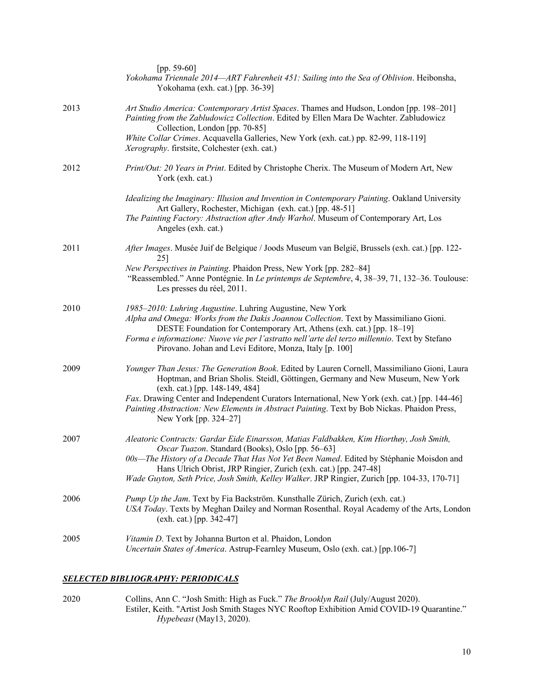|      | [pp. 59-60]<br>Yokohama Triennale 2014—ART Fahrenheit 451: Sailing into the Sea of Oblivion. Heibonsha,<br>Yokohama (exh. cat.) [pp. 36-39]                                                                                                                                                                                                                                                                                               |
|------|-------------------------------------------------------------------------------------------------------------------------------------------------------------------------------------------------------------------------------------------------------------------------------------------------------------------------------------------------------------------------------------------------------------------------------------------|
| 2013 | Art Studio America: Contemporary Artist Spaces. Thames and Hudson, London [pp. 198–201]<br>Painting from the Zabludowicz Collection. Edited by Ellen Mara De Wachter. Zabludowicz<br>Collection, London [pp. 70-85]<br>White Collar Crimes. Acquavella Galleries, New York (exh. cat.) pp. 82-99, 118-119]<br>Xerography. firstsite, Colchester (exh. cat.)                                                                               |
| 2012 | Print/Out: 20 Years in Print. Edited by Christophe Cherix. The Museum of Modern Art, New<br>York (exh. cat.)                                                                                                                                                                                                                                                                                                                              |
|      | Idealizing the Imaginary: Illusion and Invention in Contemporary Painting. Oakland University<br>Art Gallery, Rochester, Michigan (exh. cat.) [pp. 48-51]<br>The Painting Factory: Abstraction after Andy Warhol. Museum of Contemporary Art, Los<br>Angeles (exh. cat.)                                                                                                                                                                  |
| 2011 | After Images. Musée Juif de Belgique / Joods Museum van België, Brussels (exh. cat.) [pp. 122-<br>25]<br>New Perspectives in Painting. Phaidon Press, New York [pp. 282-84]<br>"Reassembled." Anne Pontégnie. In Le printemps de Septembre, 4, 38-39, 71, 132-36. Toulouse:<br>Les presses du réel, 2011.                                                                                                                                 |
| 2010 | 1985-2010: Luhring Augustine. Luhring Augustine, New York<br>Alpha and Omega: Works from the Dakis Joannou Collection. Text by Massimiliano Gioni.<br>DESTE Foundation for Contemporary Art, Athens (exh. cat.) [pp. 18-19]<br>Forma e informazione: Nuove vie per l'astratto nell'arte del terzo millennio. Text by Stefano<br>Pirovano. Johan and Levi Editore, Monza, Italy [p. 100]                                                   |
| 2009 | Younger Than Jesus: The Generation Book. Edited by Lauren Cornell, Massimiliano Gioni, Laura<br>Hoptman, and Brian Sholis. Steidl, Göttingen, Germany and New Museum, New York<br>(exh. cat.) [pp. 148-149, 484]<br>Fax. Drawing Center and Independent Curators International, New York (exh. cat.) [pp. 144-46]<br>Painting Abstraction: New Elements in Abstract Painting. Text by Bob Nickas. Phaidon Press,<br>New York [pp. 324–27] |
| 2007 | Aleatoric Contracts: Gardar Eide Einarsson, Matias Faldbakken, Kim Hiorthøy, Josh Smith,<br>Oscar Tuazon. Standard (Books), Oslo [pp. 56-63]<br>00s-The History of a Decade That Has Not Yet Been Named. Edited by Stéphanie Moisdon and<br>Hans Ulrich Obrist, JRP Ringier, Zurich (exh. cat.) [pp. 247-48]<br>Wade Guyton, Seth Price, Josh Smith, Kelley Walker. JRP Ringier, Zurich [pp. 104-33, 170-71]                              |
| 2006 | Pump Up the Jam. Text by Fia Backström. Kunsthalle Zürich, Zurich (exh. cat.)<br>USA Today. Texts by Meghan Dailey and Norman Rosenthal. Royal Academy of the Arts, London<br>$(exh. cat.)$ [pp. 342-47]                                                                                                                                                                                                                                  |
| 2005 | Vitamin D. Text by Johanna Burton et al. Phaidon, London<br>Uncertain States of America. Astrup-Fearnley Museum, Oslo (exh. cat.) [pp.106-7]                                                                                                                                                                                                                                                                                              |

### *SELECTED BIBLIOGRAPHY: PERIODICALS*

2020 Collins, Ann C. "Josh Smith: High as Fuck." *The Brooklyn Rail* (July/August 2020). Estiler, Keith. "Artist Josh Smith Stages NYC Rooftop Exhibition Amid COVID-19 Quarantine." *Hypebeast* (May13, 2020).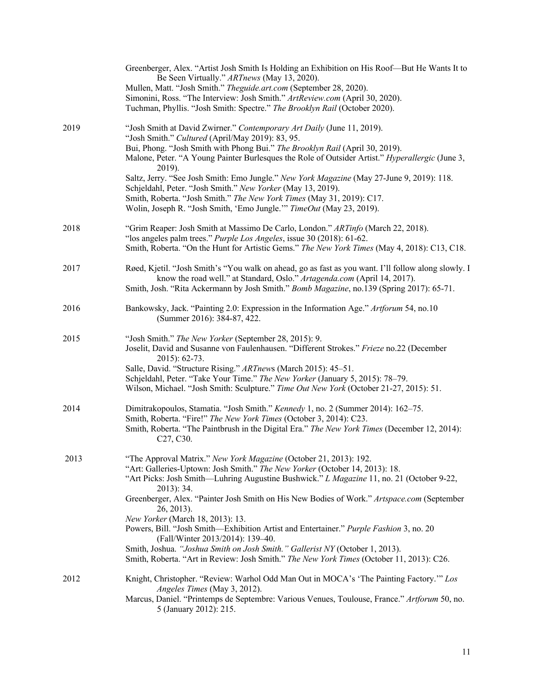|      | Greenberger, Alex. "Artist Josh Smith Is Holding an Exhibition on His Roof-But He Wants It to<br>Be Seen Virtually." ARTnews (May 13, 2020).<br>Mullen, Matt. "Josh Smith." Theguide.art.com (September 28, 2020).<br>Simonini, Ross. "The Interview: Josh Smith." ArtReview.com (April 30, 2020).<br>Tuchman, Phyllis. "Josh Smith: Spectre." The Brooklyn Rail (October 2020).                                                                                                                                                                                                                                                                                                                                       |
|------|------------------------------------------------------------------------------------------------------------------------------------------------------------------------------------------------------------------------------------------------------------------------------------------------------------------------------------------------------------------------------------------------------------------------------------------------------------------------------------------------------------------------------------------------------------------------------------------------------------------------------------------------------------------------------------------------------------------------|
| 2019 | "Josh Smith at David Zwirner." Contemporary Art Daily (June 11, 2019).<br>"Josh Smith." Cultured (April/May 2019): 83, 95.<br>Bui, Phong. "Josh Smith with Phong Bui." The Brooklyn Rail (April 30, 2019).<br>Malone, Peter. "A Young Painter Burlesques the Role of Outsider Artist." Hyperallergic (June 3,<br>2019).<br>Saltz, Jerry. "See Josh Smith: Emo Jungle." New York Magazine (May 27-June 9, 2019): 118.<br>Schjeldahl, Peter. "Josh Smith." New Yorker (May 13, 2019).<br>Smith, Roberta. "Josh Smith." The New York Times (May 31, 2019): C17.<br>Wolin, Joseph R. "Josh Smith, 'Emo Jungle." TimeOut (May 23, 2019).                                                                                    |
| 2018 | "Grim Reaper: Josh Smith at Massimo De Carlo, London." ARTinfo (March 22, 2018).<br>"los angeles palm trees." Purple Los Angeles, issue 30 (2018): 61-62.<br>Smith, Roberta. "On the Hunt for Artistic Gems." The New York Times (May 4, 2018): C13, C18.                                                                                                                                                                                                                                                                                                                                                                                                                                                              |
| 2017 | Røed, Kjetil. "Josh Smith's "You walk on ahead, go as fast as you want. I'll follow along slowly. I<br>know the road well." at Standard, Oslo." Artagenda.com (April 14, 2017).<br>Smith, Josh. "Rita Ackermann by Josh Smith." Bomb Magazine, no.139 (Spring 2017): 65-71.                                                                                                                                                                                                                                                                                                                                                                                                                                            |
| 2016 | Bankowsky, Jack. "Painting 2.0: Expression in the Information Age." Artforum 54, no.10<br>(Summer 2016): 384-87, 422.                                                                                                                                                                                                                                                                                                                                                                                                                                                                                                                                                                                                  |
| 2015 | "Josh Smith." The New Yorker (September 28, 2015): 9.<br>Joselit, David and Susanne von Faulenhausen. "Different Strokes." Frieze no.22 (December<br>2015): 62-73.<br>Salle, David. "Structure Rising." ARTnews (March 2015): 45-51.<br>Schjeldahl, Peter. "Take Your Time." The New Yorker (January 5, 2015): 78-79.<br>Wilson, Michael. "Josh Smith: Sculpture." Time Out New York (October 21-27, 2015): 51.                                                                                                                                                                                                                                                                                                        |
| 2014 | Dimitrakopoulos, Stamatia. "Josh Smith." Kennedy 1, no. 2 (Summer 2014): 162-75.<br>Smith, Roberta. "Fire!" The New York Times (October 3, 2014): C23.<br>Smith, Roberta. "The Paintbrush in the Digital Era." The New York Times (December 12, 2014):<br>C <sub>27</sub> , C <sub>30</sub> .                                                                                                                                                                                                                                                                                                                                                                                                                          |
| 2013 | "The Approval Matrix." New York Magazine (October 21, 2013): 192.<br>"Art: Galleries-Uptown: Josh Smith." The New Yorker (October 14, 2013): 18.<br>"Art Picks: Josh Smith—Luhring Augustine Bushwick." L Magazine 11, no. 21 (October 9-22,<br>$2013$ : 34.<br>Greenberger, Alex. "Painter Josh Smith on His New Bodies of Work." Artspace.com (September<br>26, 2013).<br>New Yorker (March 18, 2013): 13.<br>Powers, Bill. "Josh Smith-Exhibition Artist and Entertainer." Purple Fashion 3, no. 20<br>(Fall/Winter 2013/2014): 139-40.<br>Smith, Joshua. "Joshua Smith on Josh Smith." Gallerist NY (October 1, 2013).<br>Smith, Roberta. "Art in Review: Josh Smith." The New York Times (October 11, 2013): C26. |
| 2012 | Knight, Christopher. "Review: Warhol Odd Man Out in MOCA's 'The Painting Factory."" Los<br>Angeles Times (May 3, 2012).<br>Marcus, Daniel. "Printemps de Septembre: Various Venues, Toulouse, France." Artforum 50, no.<br>5 (January 2012): 215.                                                                                                                                                                                                                                                                                                                                                                                                                                                                      |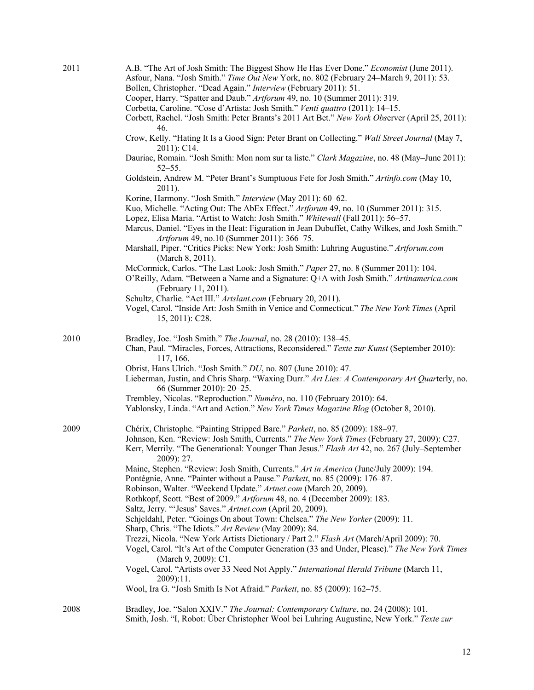| 2011 | A.B. "The Art of Josh Smith: The Biggest Show He Has Ever Done." Economist (June 2011).<br>Asfour, Nana. "Josh Smith." Time Out New York, no. 802 (February 24-March 9, 2011): 53.<br>Bollen, Christopher. "Dead Again." Interview (February 2011): 51.<br>Cooper, Harry. "Spatter and Daub." Artforum 49, no. 10 (Summer 2011): 319.<br>Corbetta, Caroline. "Cose d'Artista: Josh Smith." Venti quattro (2011): 14-15.<br>Corbett, Rachel. "Josh Smith: Peter Brants's 2011 Art Bet." New York Observer (April 25, 2011):<br>46.<br>Crow, Kelly. "Hating It Is a Good Sign: Peter Brant on Collecting." Wall Street Journal (May 7,<br>2011): C14.<br>Dauriac, Romain. "Josh Smith: Mon nom sur ta liste." Clark Magazine, no. 48 (May-June 2011):<br>$52 - 55$ .<br>Goldstein, Andrew M. "Peter Brant's Sumptuous Fete for Josh Smith." Artinfo.com (May 10,<br>2011).<br>Korine, Harmony. "Josh Smith." Interview (May 2011): 60-62.<br>Kuo, Michelle. "Acting Out: The AbEx Effect." Artforum 49, no. 10 (Summer 2011): 315.<br>Lopez, Elisa Maria. "Artist to Watch: Josh Smith." Whitewall (Fall 2011): 56-57.<br>Marcus, Daniel. "Eyes in the Heat: Figuration in Jean Dubuffet, Cathy Wilkes, and Josh Smith."<br>Artforum 49, no.10 (Summer 2011): 366-75.<br>Marshall, Piper. "Critics Picks: New York: Josh Smith: Luhring Augustine." Artforum.com<br>(March 8, 2011).<br>McCormick, Carlos. "The Last Look: Josh Smith." Paper 27, no. 8 (Summer 2011): 104.<br>O'Reilly, Adam. "Between a Name and a Signature: Q+A with Josh Smith." Artinamerica.com<br>(February 11, 2011).<br>Schultz, Charlie. "Act III." Artslant.com (February 20, 2011). |
|------|----------------------------------------------------------------------------------------------------------------------------------------------------------------------------------------------------------------------------------------------------------------------------------------------------------------------------------------------------------------------------------------------------------------------------------------------------------------------------------------------------------------------------------------------------------------------------------------------------------------------------------------------------------------------------------------------------------------------------------------------------------------------------------------------------------------------------------------------------------------------------------------------------------------------------------------------------------------------------------------------------------------------------------------------------------------------------------------------------------------------------------------------------------------------------------------------------------------------------------------------------------------------------------------------------------------------------------------------------------------------------------------------------------------------------------------------------------------------------------------------------------------------------------------------------------------------------------------------------------------------------------------------------------------|
|      | Vogel, Carol. "Inside Art: Josh Smith in Venice and Connecticut." The New York Times (April<br>15, 2011): C28.                                                                                                                                                                                                                                                                                                                                                                                                                                                                                                                                                                                                                                                                                                                                                                                                                                                                                                                                                                                                                                                                                                                                                                                                                                                                                                                                                                                                                                                                                                                                                 |
| 2010 | Bradley, Joe. "Josh Smith." The Journal, no. 28 (2010): 138-45.<br>Chan, Paul. "Miracles, Forces, Attractions, Reconsidered." Texte zur Kunst (September 2010):<br>117, 166.<br>Obrist, Hans Ulrich. "Josh Smith." DU, no. 807 (June 2010): 47.<br>Lieberman, Justin, and Chris Sharp. "Waxing Durr." Art Lies: A Contemporary Art Quarterly, no.<br>66 (Summer 2010): 20–25.<br>Trembley, Nicolas. "Reproduction." Numéro, no. 110 (February 2010): 64.<br>Yablonsky, Linda. "Art and Action." New York Times Magazine Blog (October 8, 2010).                                                                                                                                                                                                                                                                                                                                                                                                                                                                                                                                                                                                                                                                                                                                                                                                                                                                                                                                                                                                                                                                                                                |
| 2009 | Chérix, Christophe. "Painting Stripped Bare." Parkett, no. 85 (2009): 188-97.<br>Johnson, Ken. "Review: Josh Smith, Currents." The New York Times (February 27, 2009): C27.<br>Kerr, Merrily. "The Generational: Younger Than Jesus." Flash Art 42, no. 267 (July–September<br>2009): 27.<br>Maine, Stephen. "Review: Josh Smith, Currents." Art in America (June/July 2009): 194.<br>Pontégnie, Anne. "Painter without a Pause." Parkett, no. 85 (2009): 176-87.<br>Robinson, Walter. "Weekend Update." Artnet.com (March 20, 2009).<br>Rothkopf, Scott. "Best of 2009." Artforum 48, no. 4 (December 2009): 183.<br>Saltz, Jerry. "'Jesus' Saves." Artnet.com (April 20, 2009).<br>Schjeldahl, Peter. "Goings On about Town: Chelsea." The New Yorker (2009): 11.<br>Sharp, Chris. "The Idiots." Art Review (May 2009): 84.<br>Trezzi, Nicola. "New York Artists Dictionary / Part 2." Flash Art (March/April 2009): 70.<br>Vogel, Carol. "It's Art of the Computer Generation (33 and Under, Please)." The New York Times<br>(March 9, 2009): C1.<br>Vogel, Carol. "Artists over 33 Need Not Apply." International Herald Tribune (March 11,<br>2009):11.<br>Wool, Ira G. "Josh Smith Is Not Afraid." Parkett, no. 85 (2009): 162–75.                                                                                                                                                                                                                                                                                                                                                                                                                       |
| 2008 | Bradley, Joe. "Salon XXIV." The Journal: Contemporary Culture, no. 24 (2008): 101.<br>Smith, Josh. "I, Robot: Über Christopher Wool bei Luhring Augustine, New York." Texte zur                                                                                                                                                                                                                                                                                                                                                                                                                                                                                                                                                                                                                                                                                                                                                                                                                                                                                                                                                                                                                                                                                                                                                                                                                                                                                                                                                                                                                                                                                |

12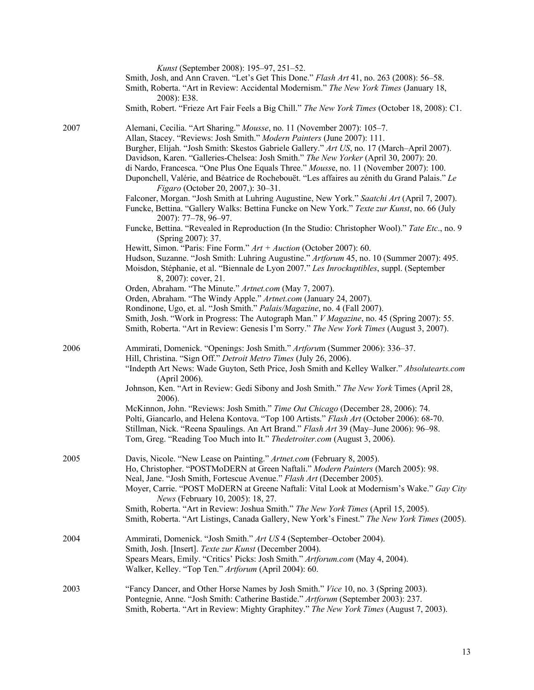|      | Kunst (September 2008): 195–97, 251–52.<br>Smith, Josh, and Ann Craven. "Let's Get This Done." Flash Art 41, no. 263 (2008): 56–58.<br>Smith, Roberta. "Art in Review: Accidental Modernism." The New York Times (January 18,<br>2008): E38.<br>Smith, Robert. "Frieze Art Fair Feels a Big Chill." The New York Times (October 18, 2008): C1.                                                                                                                                                                                                                                                                                                                                                                                                                                                                                                                                                                                                                                                                                                                                                                                                                                                                                                                                                                                                                                                                                                                                                                                    |
|------|-----------------------------------------------------------------------------------------------------------------------------------------------------------------------------------------------------------------------------------------------------------------------------------------------------------------------------------------------------------------------------------------------------------------------------------------------------------------------------------------------------------------------------------------------------------------------------------------------------------------------------------------------------------------------------------------------------------------------------------------------------------------------------------------------------------------------------------------------------------------------------------------------------------------------------------------------------------------------------------------------------------------------------------------------------------------------------------------------------------------------------------------------------------------------------------------------------------------------------------------------------------------------------------------------------------------------------------------------------------------------------------------------------------------------------------------------------------------------------------------------------------------------------------|
| 2007 | Alemani, Cecilia. "Art Sharing." Mousse, no. 11 (November 2007): 105-7.<br>Allan, Stacey. "Reviews: Josh Smith." Modern Painters (June 2007): 111.<br>Burgher, Elijah. "Josh Smith: Skestos Gabriele Gallery." Art US, no. 17 (March-April 2007).<br>Davidson, Karen. "Galleries-Chelsea: Josh Smith." The New Yorker (April 30, 2007): 20.<br>di Nardo, Francesca. "One Plus One Equals Three." Mousse, no. 11 (November 2007): 100.<br>Duponchell, Valérie, and Béatrice de Rochebouët. "Les affaires au zénith du Grand Palais." Le<br>Figaro (October 20, 2007,): 30-31.<br>Falconer, Morgan. "Josh Smith at Luhring Augustine, New York." Saatchi Art (April 7, 2007).<br>Funcke, Bettina. "Gallery Walks: Bettina Funcke on New York." Texte zur Kunst, no. 66 (July<br>2007): 77-78, 96-97.<br>Funcke, Bettina. "Revealed in Reproduction (In the Studio: Christopher Wool)." Tate Etc., no. 9<br>(Spring 2007): 37.<br>Hewitt, Simon. "Paris: Fine Form." $Art + Auction$ (October 2007): 60.<br>Hudson, Suzanne. "Josh Smith: Luhring Augustine." Artforum 45, no. 10 (Summer 2007): 495.<br>Moisdon, Stéphanie, et al. "Biennale de Lyon 2007." Les Inrockuptibles, suppl. (September<br>8, 2007): cover, 21.<br>Orden, Abraham. "The Minute." Artnet.com (May 7, 2007).<br>Orden, Abraham. "The Windy Apple." Artnet.com (January 24, 2007).<br>Rondinone, Ugo, et. al. "Josh Smith." Palais/Magazine, no. 4 (Fall 2007).<br>Smith, Josh. "Work in Progress: The Autograph Man." V Magazine, no. 45 (Spring 2007): 55. |
|      | Smith, Roberta. "Art in Review: Genesis I'm Sorry." The New York Times (August 3, 2007).                                                                                                                                                                                                                                                                                                                                                                                                                                                                                                                                                                                                                                                                                                                                                                                                                                                                                                                                                                                                                                                                                                                                                                                                                                                                                                                                                                                                                                          |
| 2006 | Ammirati, Domenick. "Openings: Josh Smith." Artforum (Summer 2006): 336-37.<br>Hill, Christina. "Sign Off." Detroit Metro Times (July 26, 2006).<br>"Indepth Art News: Wade Guyton, Seth Price, Josh Smith and Kelley Walker." Absolutearts.com<br>(April 2006).<br>Johnson, Ken. "Art in Review: Gedi Sibony and Josh Smith." The New York Times (April 28,<br>2006).<br>McKinnon, John. "Reviews: Josh Smith." Time Out Chicago (December 28, 2006): 74.<br>Polti, Giancarlo, and Helena Kontova. "Top 100 Artists." Flash Art (October 2006): 68-70.<br>Stillman, Nick. "Reena Spaulings. An Art Brand." Flash Art 39 (May-June 2006): 96-98.<br>Tom, Greg. "Reading Too Much into It." Thedetroiter.com (August 3, 2006).                                                                                                                                                                                                                                                                                                                                                                                                                                                                                                                                                                                                                                                                                                                                                                                                     |
| 2005 | Davis, Nicole. "New Lease on Painting." Artnet.com (February 8, 2005).<br>Ho, Christopher. "POSTMoDERN at Green Naftali." Modern Painters (March 2005): 98.<br>Neal, Jane. "Josh Smith, Fortescue Avenue." Flash Art (December 2005).<br>Moyer, Carrie. "POST MoDERN at Greene Naftali: Vital Look at Modernism's Wake." Gay City<br>News (February 10, 2005): 18, 27.<br>Smith, Roberta. "Art in Review: Joshua Smith." The New York Times (April 15, 2005).<br>Smith, Roberta. "Art Listings, Canada Gallery, New York's Finest." The New York Times (2005).                                                                                                                                                                                                                                                                                                                                                                                                                                                                                                                                                                                                                                                                                                                                                                                                                                                                                                                                                                    |
| 2004 | Ammirati, Domenick. "Josh Smith." Art US 4 (September-October 2004).<br>Smith, Josh. [Insert]. Texte zur Kunst (December 2004).<br>Spears Mears, Emily. "Critics' Picks: Josh Smith." Artforum.com (May 4, 2004).<br>Walker, Kelley. "Top Ten." Artforum (April 2004): 60.                                                                                                                                                                                                                                                                                                                                                                                                                                                                                                                                                                                                                                                                                                                                                                                                                                                                                                                                                                                                                                                                                                                                                                                                                                                        |
| 2003 | "Fancy Dancer, and Other Horse Names by Josh Smith." Vice 10, no. 3 (Spring 2003).<br>Pontegnie, Anne. "Josh Smith: Catherine Bastide." Artforum (September 2003): 237.<br>Smith, Roberta. "Art in Review: Mighty Graphitey." The New York Times (August 7, 2003).                                                                                                                                                                                                                                                                                                                                                                                                                                                                                                                                                                                                                                                                                                                                                                                                                                                                                                                                                                                                                                                                                                                                                                                                                                                                |